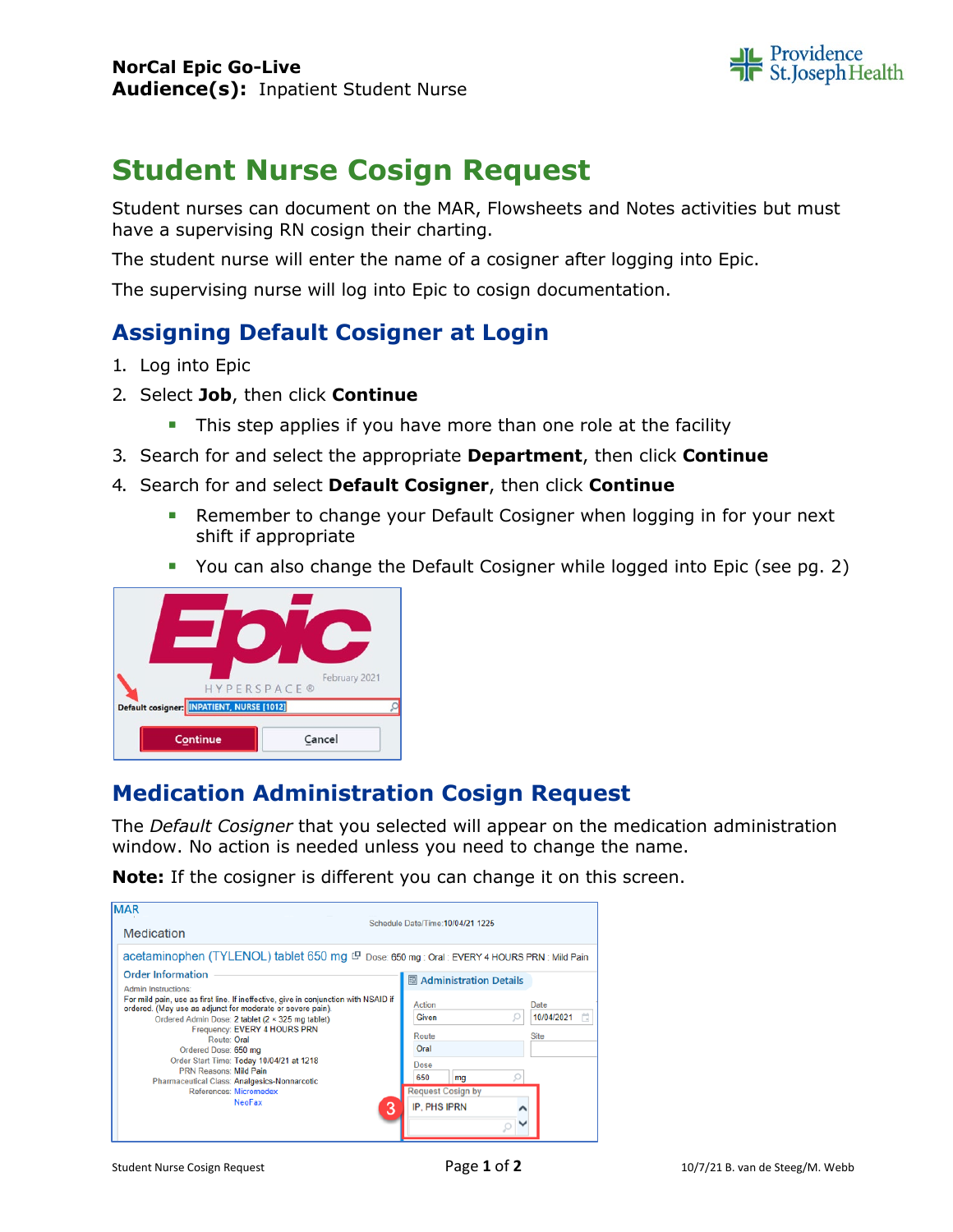

# **Student Nurse Cosign Request**

Student nurses can document on the MAR, Flowsheets and Notes activities but must have a supervising RN cosign their charting.

The student nurse will enter the name of a cosigner after logging into Epic.

The supervising nurse will log into Epic to cosign documentation.

### **Assigning Default Cosigner at Login**

- 1. Log into Epic
- 2. Select **Job**, then click **Continue**
	- This step applies if you have more than one role at the facility
- 3. Search for and select the appropriate **Department**, then click **Continue**
- 4. Search for and select **Default Cosigner**, then click **Continue**
	- **Remember to change your Default Cosigner when logging in for your next** shift if appropriate
	- You can also change the Default Cosigner while logged into Epic (see pg. 2)



#### **Medication Administration Cosign Request**

The *Default Cosigner* that you selected will appear on the medication administration window. No action is needed unless you need to change the name.

**Note:** If the cosigner is different you can change it on this screen.

| <b>MAR</b><br>Medication                                                                                                                                                                                                                                                                                                                                                                                                                                                                         | Schedule Date/Time: 10/04/21 1225                                                                                                                                                                   |
|--------------------------------------------------------------------------------------------------------------------------------------------------------------------------------------------------------------------------------------------------------------------------------------------------------------------------------------------------------------------------------------------------------------------------------------------------------------------------------------------------|-----------------------------------------------------------------------------------------------------------------------------------------------------------------------------------------------------|
| acetaminophen (TYLENOL) tablet 650 mg ( Dose: 650 mg : Oral : EVERY 4 HOURS PRN : Mild Pain                                                                                                                                                                                                                                                                                                                                                                                                      |                                                                                                                                                                                                     |
| <b>Order Information</b><br>Admin Instructions:<br>For mild pain, use as first line. If ineffective, give in conjunction with NSAID if<br>ordered. (May use as adjunct for moderate or severe pain).<br>Ordered Admin Dose: 2 tablet (2 x 325 mg tablet)<br>Frequency: EVERY 4 HOURS PRN<br>Route: Oral<br>Ordered Dose: 650 mg<br>Order Start Time: Today 10/04/21 at 1218<br><b>PRN Reasons: Mild Pain</b><br>Pharmaceutical Class: Analgesics-Nonnarcotic<br>References: Micromedex<br>NeoFax | 图 Administration Details<br>Action<br>Date<br><b>Given</b><br>10/04/2021<br>a<br>Route<br><b>Site</b><br>Oral<br>Dose<br>650<br>mg<br><b>Request Cosign by</b><br>З<br>IP. PHS IPRN<br>$\checkmark$ |